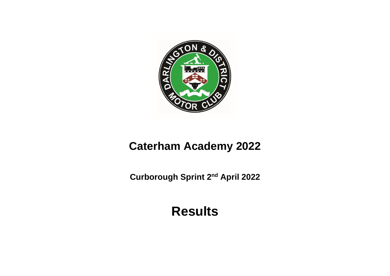

# **Caterham Academy 2022**

**Curborough Sprint 2<sup>nd</sup> April 2022** 

**Results**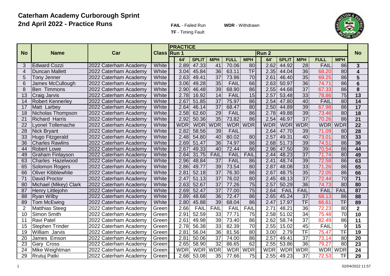#### **Caterham Academy Curborough Sprint 2nd April 2022 - Practice Runs**

**FAIL** - Failed Run **WDR** - Withdrawn



**TF** - Timing Fault

|                 |                         |                       |                    | <b>PRACTICE</b> |                    |                 |             |                          |            |                    |                          |             |                          |                         |
|-----------------|-------------------------|-----------------------|--------------------|-----------------|--------------------|-----------------|-------------|--------------------------|------------|--------------------|--------------------------|-------------|--------------------------|-------------------------|
| <b>No</b>       | <b>Name</b>             | Car                   | <b>Class Run 1</b> |                 |                    |                 |             |                          | Run 2      |                    |                          |             |                          | <b>No</b>               |
|                 |                         |                       |                    | 64'             | <b>SPLIT</b>       | <b>MPH</b>      | <b>FULL</b> | <b>MPH</b>               | 64'        | <b>SPLIT</b>       | <b>MPH</b>               | <b>FULL</b> | <b>MPH</b>               |                         |
| 3               | <b>Edward Cozzi</b>     | 2022 Caterham Academy | White              | 2.89            | 47.33              | 41              | 70.06       | 80                       | 2.62       | 44.92              | 28                       | FAIL        | 86                       | 3                       |
| 4               | Duncan Mallett          | 2022 Caterham Academy | White              | 3.04            | 45.84              | $\overline{36}$ | 63.11       | $\overline{\mathsf{TF}}$ | 2.35       | 44.04              | 36                       | 68.20       | 80                       | $\overline{\mathbf{4}}$ |
| 5               | <b>Tony Jenner</b>      | 2022 Caterham Academy | White              | 2.63            | 49.41              | $\overline{37}$ | 73.96       | 70                       | 2.61       | 46.40              | $\overline{35}$          | 69.25       | 86                       | 5                       |
| 6               | James McCullough        | 2022 Caterham Academy | White              | 3.06            | 49.28              | $\overline{35}$ | FAIL        | 66                       | 2.63       | 50.97              | $\overline{36}$          | 74.71       | 86                       | $6\phantom{1}$          |
| 8               | Ben Timmons             | 2022 Caterham Academy | White              | 2.90            | 46.48              | 39              | 68.90       | 86                       | 2.55       | 44.68              | $\overline{37}$          | 67.33       | 86                       | 8                       |
| 13              | Craig Jarvis            | 2022 Caterham Academy | White              | 2.78            | 16.92              | 14              | FAIL        | 15                       | 2.57       | 53.48              | 33                       | 78.86       | $\overline{75}$          | 13                      |
| 14              | <b>Robert Kennerley</b> | 2022 Caterham Academy | White              | 2.67            | 51.85              | $\overline{37}$ | 75.97       | 86                       | 2.54       | 47.80              | 40                       | <b>FAIL</b> | $\overline{80}$          | $\overline{14}$         |
| 17              | Matt Larbey             | 2022 Caterham Academy | White              | 2.64            | 46.14              | $\overline{37}$ | 68.47       | 80                       | 2.50       | 44.89              | $\overline{39}$          | 67.98       | $\overline{86}$          | $\overline{17}$         |
| 18              | Nicholas Thompson       | 2022 Caterham Academy | White              | 2.58            | 62.60              | 29              | <b>FAIL</b> | 86                       | 2.78       | 49.88              | $\overline{39}$          | 73.46       | 80                       | $\overline{18}$         |
| 21              | <b>Richard Harris</b>   | 2022 Caterham Academy | White              | 2.92            | 50.36              | 35              | 73.82       | 86                       | 2.54       | 46.97              | $\overline{37}$          | 70.26       | 86                       | $\overline{21}$         |
| 22              | vonel Tollemache        | 2022 Caterham Academy | White              | <b>WDR</b>      | <b>WDR</b>         | <b>WDR</b>      | <b>WDR</b>  | <b>WDR</b>               | <b>WDR</b> | <b>WDR</b>         | <b>WDR</b>               | <b>WDR</b>  | <b>WDR</b>               | $\overline{22}$         |
| 28              | <b>Nick Bryant</b>      | 2022 Caterham Academy | White              | 2.82            | 58.56              | 39              | FAIL        |                          | 2.64       | 47.70              | 39                       | 71.09       | 80                       | 28                      |
| 33              | Hugo Fitzgerald         | 2022 Caterham Academy | White              | 2.48            | 54.80              | 40              | 80.02       | 80                       | 2.57       | 49.31              | 40                       | 73.01       | 80                       | 33                      |
| $\overline{36}$ | <b>Charles Rawlins</b>  | 2022 Caterham Academy | White              | 2.69            | 51.47              | $\overline{36}$ | 74.97       | 86                       | 2.68       | 51.73              | 39                       | 74.51       | $\overline{86}$          | 36                      |
| 44              | <b>Robert Lowe</b>      | 2022 Caterham Academy | White              | 2.67            | 49.33              | 40              | 72.44       | 86                       | 2.96       | 47.50              | 39                       | 70.54       | $\overline{86}$          | 44                      |
| 49              | Graham Finlayson        | 2022 Caterham Academy | White              | 2.64            | 31.75              | <b>FAIL</b>     | FAIL        | <b>FAIL</b>              | 2.44       | 48.23              | $\overline{37}$          | 71.74       | 80                       | 49                      |
| 63              | Charles Hazelwood       | 2022 Caterham Academy | White              | 2.96            | 48.84              | $\overline{37}$ | FAIL        | 86                       | 2.41       | 48.74              | 39                       | 72.58       | 86                       | 63                      |
| 65              | Solomon Rogers          | 2022 Caterham Academy | White              | 2.86            | 49.77              | $\overline{39}$ | 73.54       | 80                       | 2.87       | 48.08              | $\overline{33}$          | 71.26       | 86                       | 65                      |
| 66              | Oliver Kibblewhite      | 2022 Caterham Academy | White              | 2.81            | 52.18              | $\overline{37}$ | 76.30       | 86                       | 2.67       | 48.75              | $\overline{35}$          | 72.05       | 86                       | 66                      |
| 71              | David Proctor           | 2022 Caterham Academy | White              | 2.47            | $\overline{51.13}$ | $\overline{37}$ | 76.02       | 80                       | 2.45       | 48.13              | $\overline{37}$          | 72.44       | $\overline{70}$          | $\overline{71}$         |
| 80              | Michael (Mikey) Clark   | 2022 Caterham Academy | White              | 2.63            | 52.67              | $\overline{37}$ | 77.26       | 75                       | 2.57       | 50.29              | $\overline{36}$          | 74.73       | 80                       | 80                      |
| $\overline{87}$ | Henry Littlejohn        | 2022 Caterham Academy | White              | 2.69            | 52.47              | $\overline{37}$ | 77.00       | $\overline{75}$          | 2.64       | <b>FAIL</b>        | FAIL                     | <b>FAIL</b> | FAIL                     | $\overline{87}$         |
| 88              | <b>Ryan Wilby</b>       | 2022 Caterham Academy | White              | 2.89            | 48.68              | $\overline{36}$ | 72.47       | 86                       | 2.65       | 45.24              | $\overline{37}$          | 68.13       | 86                       | 88                      |
| 89              | <b>Tom McEwing</b>      | 2022 Caterham Academy | White              | 2.80            | 45.88              | 39              | 68.04       | 86                       | 2.47       | 17.97              | $\overline{\mathsf{TF}}$ | 66.61       | TF                       | 89                      |
| $\overline{2}$  | <b>Matthias Steeg</b>   | 2022 Caterham Academy | Green              | 2.66            | <b>FAIL</b>        | <b>FAIL</b>     | FAIL        | <b>FAIL</b>              | 2.71       | $\overline{48.21}$ | $\overline{36}$          | 72.23       | 80                       | $\overline{\mathbf{2}}$ |
| 10              | Simon Smith             | 2022 Caterham Academy | Green              | 2.91            | 52.59              | $\overline{33}$ | 77.71       | $\overline{75}$          | 2.58       | 51.02              | $\overline{34}$          | 75.48       | $\overline{70}$          | $\overline{10}$         |
| 11              | <b>Ravi Patel</b>       | 2022 Caterham Academy | Green              | 2.61            | 49.98              | 39              | 73.40       | 86                       | 2.62       | 58.74              | $\overline{37}$          | 82.49       | 86                       | $\overline{11}$         |
| 15              | <b>Stephen Trinder</b>  | 2022 Caterham Academy | Green              | 2.78            | 56.38              | $\overline{33}$ | 82.39       | $\overline{70}$          | 2.55       | 15.02              | 45                       | <b>FAIL</b> | 9                        | $\overline{15}$         |
| 19              | William Jarvis          | 2022 Caterham Academy | Green              | 2.81            | 56.04              | $\overline{36}$ | 81.56       | 80                       | 3.00       | 2.79               | $\overline{\mathsf{TF}}$ | 75.47       | $\overline{\mathsf{TF}}$ | 19                      |
| 20              | James Emson             | 2022 Caterham Academy | Green              | 2.81            | 50.06              | $\overline{37}$ | 74.00       | 86                       | 2.57       | 49.41              | $\overline{37}$          | 73.14       | $\overline{80}$          | $\overline{20}$         |
| 23              | Gary Cross              | 2022 Caterham Academy | Green              | 2.65            | 58.90              | $\overline{32}$ | 86.65       | 62                       | 2.55       | 53.86              | 36                       | 79.27       | $\overline{80}$          | $\overline{23}$         |
| $\overline{24}$ | Mike Weightman          | 2022 Caterham Academy | Green              | <b>WDR</b>      | <b>WDR</b>         | <b>WDR</b>      | <b>WDR</b>  | <b>WDR</b>               | <b>WDR</b> | <b>WDR</b>         | <b>WDR</b>               | <b>WDR</b>  | <b>WDR</b>               | 24                      |
| 29              | Rrutuj Patki            | 2022 Caterham Academy | Green              | 2.68            | 53.08              | $\overline{35}$ | 77.66       | $\overline{75}$          | 2.55       | 49.23              | $\overline{37}$          | 72.53       | $\overline{\mathsf{TF}}$ | 29                      |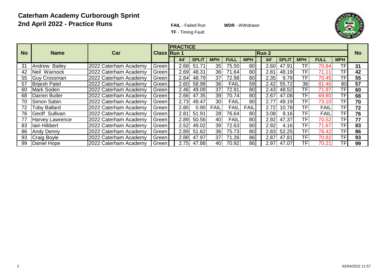#### **Caterham Academy Curborough Sprint 2nd April 2022 - Practice Runs**

**FAIL** - Failed Run **WDR** - Withdrawn



**TF** - Timing Fault

|           |                      |                       |       | <b>PRACTICE</b>             |      |              |                 |             |             |  |      |              |                 |             |            |    |
|-----------|----------------------|-----------------------|-------|-----------------------------|------|--------------|-----------------|-------------|-------------|--|------|--------------|-----------------|-------------|------------|----|
| <b>No</b> | <b>Name</b>          | Car                   |       | <b>Class Run 1</b><br>Run 2 |      |              |                 |             |             |  |      |              |                 |             |            |    |
|           |                      |                       |       |                             | 64'  | <b>SPLIT</b> | <b>MPH</b>      | <b>FULL</b> | <b>MPH</b>  |  | 64'  | <b>SPLIT</b> | <b>MPH</b>      | <b>FULL</b> | <b>MPH</b> |    |
| 31        | Andrew Bailey        | 2022 Caterham Academy | Green |                             | 2.68 | 51.71        | 35 <sub>1</sub> | 75.50       | 80          |  | 2.60 | 47.91        | <b>TFI</b>      | 70.84       | <b>TF</b>  | 31 |
| 42        | Neil Warnock         | 2022 Caterham Academy | Green |                             | 2.69 | 48.31        | 36              | 71.64       | 80          |  | 2.81 | 48.19        | TF              | 71.11       | ΤF         | 42 |
| 55        | Guy Crossman         | 2022 Caterham Academy | Green |                             | 2.84 | 48.79        | 37              | 72.98       | 80          |  | 2.35 | 9.79         | TF              | 70.45       | ΤF         | 55 |
| 57        | <b>Brijesh Patel</b> | 2022 Caterham Academy | Green |                             | 2.60 | 58.98        | 36              | <b>FAIL</b> | 59          |  | 2.42 | 55.72        | 36              | 81.46       | 80         | 57 |
| 60        | Mark Soden           | 2022 Caterham Academy | Green |                             | 2.46 | 49.09        | 37              | 72.91       | 80          |  | 2.43 | 48.52        | <b>TFI</b>      | 71.97       | TF.        | 60 |
| 68        | Darren Butler        | 2022 Caterham Academy | Green |                             | 2.66 | 47.35        | 39              | 70.74       | 80          |  | 2.67 | 47.08        | <b>TFI</b>      | 69.80       | TF.        | 68 |
| 70        | Simon Sabin          | 2022 Caterham Academy | Green |                             | 2.73 | 49.47        | 30 <sup>1</sup> | <b>FAIL</b> | 80          |  | 2.77 | 49.19        | <b>TF</b>       | 73.10       | TF         | 70 |
| 72        | <b>Toby Ballard</b>  | 2022 Caterham Academy | Green |                             | 2.85 | $0.90\,$     | <b>FAIL</b>     | FAIL        | <b>FAIL</b> |  | 2.72 | 10.78        | TF              | <b>FAIL</b> | ΤF         | 72 |
| 76        | Geoff Sullivan       | 2022 Caterham Academy | Green |                             | 2.81 | 51.91        | 28              | 76.64       | 80          |  | 3.08 | 9.16         | TF              | <b>FAIL</b> | TF         | 76 |
| 77        | Harvey Lawrence      | 2022 Caterham Academy | Green |                             | 2.89 | 50.56        | 40              | <b>FAIL</b> | 80          |  | 2.92 | 47.37        | TF              | 70.52       | TF         | 77 |
| 83        | Iain Hibbert         | 2022 Caterham Academy | Green |                             | 2.52 | 49.02        | 39              | 72.63       | 80          |  | 2.92 | 4.16         | TF <sub>I</sub> | 71.67       | TF.        | 83 |
| 86        | <b>Andy Denny</b>    | 2022 Caterham Academy | Green |                             | 2.89 | 51.62        | 36 <sup>1</sup> | 75.73       | 80          |  | 2.83 | 52.25        | TF <sub>1</sub> | 76.42       | TF.        | 86 |
| 93        | <b>Craig Boyle</b>   | 2022 Caterham Academy | Green |                             | 2.88 | 47.97        | 37              | 71.26       | 86          |  | 2.87 | 47.81        | <b>TFI</b>      | 70.82       | TF.        | 93 |
| 99        | Daniel Hope          | 2022 Caterham Academy | Green |                             | 2.75 | 47.88        | 40              | 70.92       | 86          |  | 2.97 | 47.07        | <b>TFI</b>      | 70.21       | TF         | 99 |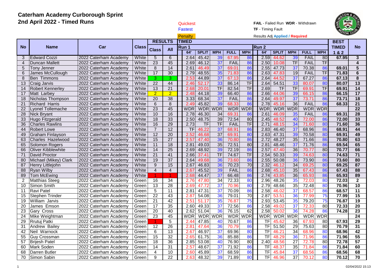| 2nd April 2022 - Timed Runs<br>Quickest |                                      |                                                |                |                     |                 |  |                           |                          |                        |                |                          | FAIL - Failed Run WDR - Withdrawn |                | $\widetilde{\mathbb{E}}$ | ElC            |                          |                |                                 |
|-----------------------------------------|--------------------------------------|------------------------------------------------|----------------|---------------------|-----------------|--|---------------------------|--------------------------|------------------------|----------------|--------------------------|-----------------------------------|----------------|--------------------------|----------------|--------------------------|----------------|---------------------------------|
|                                         |                                      |                                                |                |                     |                 |  | <b>Fastest</b>            |                          |                        |                |                          | <b>TF</b> - Timing Fault          |                |                          |                |                          |                |                                 |
|                                         |                                      |                                                |                |                     |                 |  | Penalty                   |                          |                        |                |                          | Results Adj Applied / Required    |                |                          |                |                          |                |                                 |
|                                         |                                      |                                                |                | <b>RESULTS</b>      |                 |  | <b>TIMED</b>              |                          |                        |                |                          |                                   |                |                          |                |                          | <b>BEST</b>    |                                 |
| <b>No</b>                               | <b>Name</b>                          | Car                                            | <b>Class</b>   |                     |                 |  | Run 1                     |                          |                        |                |                          | Run <sub>2</sub>                  |                |                          |                |                          | <b>TIMED</b>   | <b>No</b>                       |
|                                         |                                      |                                                |                | <b>Class</b>        | <b>All</b>      |  | 64'                       | <b>SPLIT</b>             | <b>MPH</b>             | <b>FULL</b>    | <b>MPH</b>               | 64'                               | <b>SPLIT</b>   | <b>MPH</b>               | <b>FULL</b>    | <b>MPH</b>               | 1&2            |                                 |
| 3                                       | <b>Edward Cozzi</b>                  | 2022 Caterham Academy                          | White          | 5                   | $\overline{6}$  |  | 2.64                      | 45.42                    | 39                     | 67.95          | 86                       | 2.59                              | 44.62          | 39                       | FAIL           | 80                       | 67.95          | $\overline{3}$                  |
| $\overline{4}$                          | <b>Duncan Mallett</b>                | 2022 Caterham Academy                          | White          | $\overline{23}$     | 45              |  | 2.69                      | 46.12                    | 37                     | FAIL           | 86                       | 2.50                              | 10.08          | TF                       | FAIL           | $\overline{\mathsf{TF}}$ |                | 4                               |
| 5                                       | Tony Jenner                          | 2022 Caterham Academy                          | White          | 8                   | 14              |  | 2.61                      | 46.49                    | 37                     | 69.01          | 86                       | 2.55                              | 47.73          | 37                       | 70.38          | 86                       | 69.01          | $\overline{5}$                  |
| $6\phantom{1}6$                         | James McCullough                     | 2022 Caterham Academy                          | White          | $\overline{17}$     | $\overline{30}$ |  | 2.79                      | 48.55                    | 35                     | 71.83          | 86                       | 2.63                              | 47.83          | 19                       | <b>FAIL</b>    | TF                       | 71.83          | 6                               |
| $\overline{8}$                          | Ben Timmons                          | 2022 Caterham Academy                          | White          | $\overline{\omega}$ | 3               |  | 2.53                      | 44.89                    | 37                     | 67.13          | 86                       | 2.64                              | 44.52          | 37                       | 67.27          | 86                       | 67.13          | $\overline{8}$                  |
| $\overline{13}$                         | Craig Jarvis                         | 2022 Caterham Academy                          | White          | $\overline{22}$     | 44              |  | 2.46                      | 52.17                    | 33                     | 86.14          | $\overline{\mathsf{TF}}$ | 2.64                              | 54.51          | 33                       | 80.07          | 80                       | 80.07          | $\overline{13}$                 |
| 14                                      | <b>Robert Kennerley</b>              | 2022 Caterham Academy                          | White          | 13                  | $\overline{21}$ |  | 2.68                      | 20.01                    | TF                     | 82.54          | $\overline{\text{TF}}$   | 2.69                              | TF             | $\overline{\mathsf{TF}}$ | 69.91          | $\overline{\mathsf{TF}}$ | 69.91          | 14                              |
| 17                                      | Matt Larbey                          | 2022 Caterham Academy                          | White          | $\overline{2}$      | $\overline{2}$  |  | 2.48                      | 44.18                    | 39                     | 66.40          | 86                       | 2.66                              | 44.06          | 39                       | 66.15          | 86                       | 66.15          | $\overline{17}$                 |
| 18                                      | Nicholas Thompson                    | 2022 Caterham Academy                          | White          | $\overline{20}$     | $\overline{38}$ |  | 3.33                      | 68.34                    | 37                     | FAIL           | 86                       | 2.64                              | 49.97          | $\overline{37}$          | 73.71          | 86                       | 73.71          | $\overline{18}$                 |
| $\overline{21}$                         | <b>Richard Harris</b>                | 2022 Caterham Academy                          | White          | $\overline{6}$      | $\overline{8}$  |  | 2.49                      | 45.82                    | 39                     | 68.33          | 86                       | 2.78                              | 45.16          | $\overline{36}$          | FAIL           | 86                       | 68.33          | $\overline{21}$                 |
| $\overline{22}$                         | <b>Lyonel Tollemache</b>             | 2022 Caterham Academy                          | White          | $\overline{23}$     | 45              |  | WDR                       | <b>WDR</b>               | <b>WDR</b>             | <b>WDR</b>     | <b>WDR</b>               | <b>WDR</b>                        | <b>WDR</b>     | <b>WDR</b>               | <b>WDR</b>     | <b>WDR</b>               |                | $\overline{22}$                 |
| 28                                      | <b>Nick Bryant</b>                   | 2022 Caterham Academy                          | White          | 10                  | 16              |  | 2.78                      | 46.30                    | $\overline{34}$        | 69.31          | 86                       | 2.61                              | 46.09          | 35                       | FAIL           | 86                       | 69.31          | 28                              |
| 33                                      | Hugo Fitzgerald                      | 2022 Caterham Academy                          | White          | 18                  | 33              |  | 2.50                      | 48.75                    | 39                     | 72.54          | 80                       | 2.45                              | 48.52          | 40                       | 72.00          | 86                       | 72.00          | 33                              |
| 36                                      | <b>Charles Rawlins</b>               | 2022 Caterham Academy                          | White          | 16                  | 29              |  | 2.73                      | $\overline{\mathsf{TF}}$ | $\overline{\text{TF}}$ | FAIL           | $\overline{\mathsf{TF}}$ | 2.71                              | 48.15          | 34                       | 71.60          | 80                       | 71.60          | 36                              |
| 44                                      | <b>Robert Lowe</b>                   | 2022 Caterham Academy                          | White          | $\overline{7}$      | $\overline{12}$ |  | TF                        | 46.22                    | 37                     | 68.91          | 86                       | 2.83                              | 46.40          | 37                       | 68.96          | 86                       | 68.91          | 44                              |
| 49                                      | <b>Graham Finlayson</b>              | 2022 Caterham Academy                          | White          | 12                  | $\overline{20}$ |  | 2.52                      | 46.68                    | $\overline{37}$        | 69.91          | 80                       | 2.63                              | 47.31          | 39                       | 70.58          | 80                       | 69.91          | 49                              |
| 63                                      | Charles Hazelwood                    | 2022 Caterham Academy                          | White          | 15                  | $\overline{27}$ |  | 2.57                      | 47.40                    | 36                     | 70.80          | 86                       | 2.72                              | 48.27          | $\overline{35}$          | 71.66          | 86                       | 70.80          | 63                              |
| 65                                      | Solomon Rogers                       | 2022 Caterham Academy                          | White          | 11                  | 18              |  | 2.81                      | 49.03                    | $\overline{35}$        | 72.51          | 80                       | 2.81                              | 48.46          | 37                       | 71.76          | 86                       | 69.54          | 65                              |
| 66                                      | Oliver Kibblewhite                   | 2022 Caterham Academy                          | White          | 14                  | $\overline{25}$ |  | 2.69                      | 48.92                    | 39                     | 72.19          | 86                       | 2.57                              | 47.40          | 36                       | 70.77          | 80                       | 70.77          | 66                              |
| $\overline{71}$                         | David Proctor                        | 2022 Caterham Academy                          | White          | $\overline{21}$     | 41              |  | 2.66                      | 37.41                    | TF                     | 74.67          | TF                       | 2.54                              | 50.33          | 39                       | 74.63          | 80                       | 74.63          | $\overline{71}$                 |
| 80                                      | Michael (Mikey) Clark                | 2022 Caterham Academy                          | White          | 19                  | $\overline{37}$ |  | 2.64                      | 49.68                    | 36                     | 73.60          | 86                       | 2.55                              | 50.08          | 36                       | 73.90          | 86                       | 73.60          | $\overline{80}$                 |
| 87                                      | Henry Littlejohn                     | 2022 Caterham Academy                          | White          | 9                   | 15              |  | 2.67                      | 46.83                    | 36                     | 70.23          | 70                       | 2.32                              | 46.12          | $\overline{34}$          | 69.25          | 80                       | 69.25          | 87                              |
| 88                                      | <b>Ryan Wilby</b>                    | 2022 Caterham Academy                          | White          | $\overline{4}$      | $\overline{4}$  |  | 2.67                      | 45.52                    | 39                     | <b>FAIL</b>    | 86                       | 2.68<br>2.74                      | 45.10          | $\overline{35}$<br>36    | 67.43          | 86<br>86                 | 67.43<br>65.93 | 88<br>89                        |
| 89                                      | <b>Tom McEwing</b>                   | 2022 Caterham Academy                          | White          |                     |                 |  | 2.68                      | 44.47                    | $\overline{37}$        | 66.48          | 86                       |                                   | 43.85          |                          | 65.93          |                          | 72.03          |                                 |
| $\overline{2}$                          | <b>Matthias Steeg</b><br>Simon Smith | 2022 Caterham Academy                          | Green          | 16<br>13            | 34<br>28        |  | 2.76                      | 47.80<br>47.72           | 34<br>37               | 72.33          | 80<br>80                 | 2.96<br>2.79                      | 48.26<br>48.66 | 35<br>35                 | 72.03<br>72.48 | 80<br>80                 | 70.96          | $\mathbf{2}$<br>$\overline{10}$ |
| 10<br>11                                | <b>Ravi Patel</b>                    | 2022 Caterham Academy                          | Green          | $\overline{5}$      | 11              |  | 2.69<br>2.81              | 47.31                    | 37                     | 70.96<br>70.09 | 86                       | 2.58                              |                | 37                       |                | 86                       | 68.57          | $\overline{11}$                 |
| 15                                      | <b>Stephen Trinder</b>               | 2022 Caterham Academy<br>2022 Caterham Academy | Green          | $\overline{22}$     | 43              |  | 2.87                      | 54.08                    | 36                     | 79.01          | 70                       | 2.87                              | 46.02<br>53.51 | 36                       | 68.57<br>77.99 | 75                       | 77.99          | $\overline{15}$                 |
| 19                                      | William Jarvis                       | 2022 Caterham Academy                          | Green<br>Green | 21                  | 42              |  | 2.51                      | 51.17                    | 35                     | 76.87          | 75                       | 2.93                              | 53.45          | 35                       | 79.20          | 75                       | 76.87          | 19                              |
| 20                                      | James Emson                          | 2022 Caterham Academy                          | Green          | 17                  | 35              |  | 2.60                      | 49.33                    | 37                     | 72.56          | 86                       | 2.58                              | 49.02          | 37                       | 72.33          | 80                       | 72.33          | $\overline{20}$                 |
| $\overline{23}$                         | Gary Cross                           | 2022 Caterham Academy                          | Green          | $\overline{20}$     | 40              |  | 2.62                      | 51.04                    | 36                     | 76.15          | 62                       | 2.58                              | 50.02          | 36                       | 74.28          | 86                       | 74.28          | $\overline{23}$                 |
| 24                                      | Mike Weightman                       | 2022 Caterham Academy                          | Green          | 23                  | 45              |  | $\overline{\textsf{WDR}}$ | <b>WDR</b>               | <b>WDR</b>             | <b>WDR</b>     | <b>WDR</b>               | <b>WDR</b>                        |                | WDR WDR                  |                | <b>WDR</b> WDR           |                | $\overline{24}$                 |
| 29                                      | Rrutuj Patki                         | 2022 Caterham Academy                          | Green          |                     | 5               |  | 2.44                      | 47.85                    | 40                     | 70.67          | 86                       | <b>TF</b>                         | 45.62          | 36                       | 67.93          | 80                       | 67.93          | 29                              |
| 31                                      | <b>Andrew Bailey</b>                 | 2022 Caterham Academy                          | Green          | 12                  | 26              |  | 2.81                      | 47.64                    | 36                     | 70.79          | 86                       | $\overline{\mathsf{TF}}$          | 51.50          | 29                       | 75.63          | 80                       | 70.79          | 31                              |
| 42                                      | Neil Warnock                         | 2022 Caterham Academy                          | Green          | $\,6$               | 13              |  | 2.67                      | 46.97                    | 37                     | 69.96          | 80                       | $\overline{\text{TF}}$            | 46.21          | 34                       | 68.96          | 80                       | 68.96          | 42                              |
| 55                                      | <b>Guy Crossman</b>                  | 2022 Caterham Academy                          | Green          | 15                  | 32              |  | 2.65                      | 61.75                    | 36                     | 85.88          | 86                       | $\overline{\mathsf{TF}}$          | 48.29          | 36                       | 71.96          | 86                       | 71.96          | 55                              |
| 57                                      | <b>Brijesh Patel</b>                 | 2022 Caterham Academy                          | Green          | 18                  | 36              |  | 2.85                      | 53.08                    | 40                     | 76.90          | 80                       | 2.40                              | 48.56          | $\overline{27}$          | 72.78          | 80                       | 72.78          | 57                              |
| 60                                      | Mark Soden                           | 2022 Caterham Academy                          | Green          | $\overline{14}$     | 31              |  | 2.57                      | 48.67                    | 37                     | 71.92          | 86                       | <b>TF</b>                         | 48.37          | $\overline{35}$          | 71.84          | 86                       | 71.84          | 60                              |
| 68                                      | Darren Butler                        | 2022 Caterham Academy                          | Green          | $\overline{4}$      | 10              |  | 2.60                      | 45.89                    | 37                     | 68.59          | 86                       | $\overline{\text{TF}}$            | 45.84          | 37                       | 68.56          | 86                       | 68.56          | 68                              |
| $\overline{70}$                         | Simon Sabin                          | 2022 Caterham Academy                          | Green          | 9                   | $\overline{22}$ |  | 2.63                      | 48.32                    | 39                     | 71.89          | 80                       | TF                                | 46.96          | $\overline{37}$          | 70.12          | 80                       | 70.12          | $\overline{70}$                 |
|                                         |                                      |                                                |                |                     |                 |  |                           |                          |                        |                |                          |                                   |                |                          |                |                          |                |                                 |

GION & O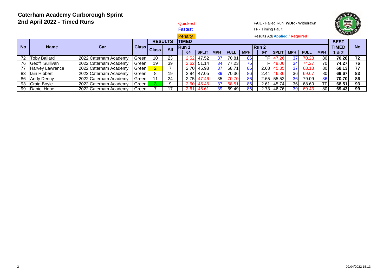| 2nd April 2022 - Timed Runs<br><b>Penalty</b> |                       |                       |       |                |     |  |              | <b>Quickest</b> |                 |             |            | <b>FAIL</b> - Failed Run <b>WDR</b> - Withdrawn<br><b>TF</b> - Timing Fault<br>Results Adj Applied / Required |                 |              |                 |             |            | $\begin{pmatrix} \frac{1}{2} \\ \frac{1}{2} \end{pmatrix}$<br>DARL |           |  |
|-----------------------------------------------|-----------------------|-----------------------|-------|----------------|-----|--|--------------|-----------------|-----------------|-------------|------------|---------------------------------------------------------------------------------------------------------------|-----------------|--------------|-----------------|-------------|------------|--------------------------------------------------------------------|-----------|--|
| <b>No</b>                                     | <b>Name</b>           | Car                   | Class | <b>RESULTS</b> |     |  | <b>TIMED</b> |                 |                 |             |            |                                                                                                               |                 |              |                 |             |            | <b>BEST</b><br><b>TIMED</b>                                        | <b>No</b> |  |
|                                               |                       |                       |       | <b>Class</b>   | All |  | Run 1<br>64  | <b>SPLIT</b>    | <b>MPH</b>      | <b>FULL</b> | <b>MPH</b> | Run 2                                                                                                         | 64'             | <b>SPLIT</b> | <b>MPH</b>      | <b>FULL</b> | <b>MPH</b> | 82                                                                 |           |  |
| 72                                            | <b>Toby Ballard</b>   | 2022 Caterham Academy | Green | 10             | 23  |  | 2.52         | 47.52           | 37              | 70.81       | 861        |                                                                                                               | TF              | 47.26        | 37              | 70.28       | 80         | 70.28                                                              | 72        |  |
| 76                                            | <b>Geoff Sullivan</b> | 2022 Caterham Academy | Green | 19             | 39  |  | 2.62         | 51.14           | 34              | 77.23       | 75I        |                                                                                                               | TF <sub>1</sub> | 49.06        | 34 <sub>l</sub> | 74.27       | 70I        | 74.27                                                              | 76        |  |
| 77                                            | IHarvev Lawrence      | 2022 Caterham Academy | Green |                |     |  | 2.70         | 45.98           | 37              | 68.71       | 86         |                                                                                                               | 2.68            | 45.35        | 37              | 68.13       | 80         | 68.13                                                              | 77        |  |
| 83                                            | llain Hibbert         | 2022 Caterham Academy | Green | 8.             | 19  |  | 2.84         | 47.05           | 39              | 70.36       | 861        |                                                                                                               | 2.44            | 46.36        | 36 <sup>1</sup> | 69.67       | 80         | 69.67                                                              | 83        |  |
| 86                                            | Andy Denny            | 2022 Caterham Academy | Green | 11             | 24  |  | 2.75         | 47.46           | 35 <sub>l</sub> | 70.70       | 86         |                                                                                                               | 2.65            | 55.52        | 36 <sup>1</sup> | 79.09       | 86         | 70.70                                                              | 86        |  |
| 93                                            | <b>Craig Boyle</b>    | 2022 Caterham Academy | Green |                | 9   |  | 2.60         | 45.46           | 37              | 68.51       | 86         |                                                                                                               | 2.61            | 45.74        | 36 <sup>1</sup> | 68.60       | <b>TFI</b> | 68.51                                                              | 93        |  |
| 99                                            | Daniel Hope           | 2022 Caterham Academy | Green |                | 17  |  | 2.61         | 46.61           | 39              | 69.49       | 86         |                                                                                                               | 2.73            | 46.76        | 39 <sup>1</sup> | 69.43       | 80         | 69.43                                                              | 99        |  |

TON &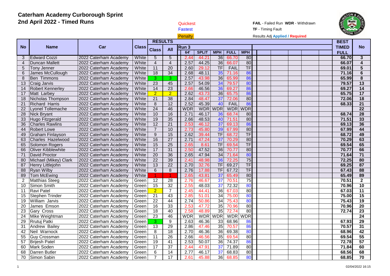| 美<br><b>TF</b> - Timing Fault<br><b>Fastest</b><br>Penalty<br>Results Adj Applied / Required<br><b>RESULTS</b><br><b>BEST</b><br>Car<br><b>TIMED</b><br>Name<br><b>Class</b><br>Run 3<br><b>No</b><br><b>Class</b><br><b>All</b><br><b>FULL</b><br>64'<br><b>SPLIT</b><br><b>MPH</b><br><b>MPH</b><br><b>FULL</b><br>36<br>80<br><b>Edward Cozzi</b><br>White<br>$\overline{5}$<br>$5\overline{)}$<br>2.44<br>66.70<br>66.70<br>3<br>2022 Caterham Academy<br>44.21<br>2.57<br>36<br>80<br>$\overline{4}$<br><b>Duncan Mallett</b><br>2022 Caterham Academy<br>$\overline{4}$<br>$\overline{4}$<br>44.25<br>66.07<br>66.07<br>White<br>$\overline{\text{TF}}$<br>TF<br>FAIL<br>$5\phantom{.0}$<br><b>Tony Jenner</b><br>2022 Caterham Academy<br>11<br>$\overline{20}$<br>2.60<br>29.12<br>69.01<br>White<br>$\overline{34}$<br>35<br>86<br>$6\phantom{a}$<br>$\overline{18}$<br>2.68<br>48.11<br>71.16<br>James McCullough<br>2022 Caterham Academy<br>White<br>71.16<br>2.57<br>36<br>65.99<br>86<br>65.99<br>8<br><b>Ben Timmons</b><br>2022 Caterham Academy<br>3<br>3<br>43.98<br>White<br>45<br>34<br>80<br>$\overline{13}$<br>23<br>54.09<br>79.57<br>79.57<br>Craig Jarvis<br>2022 Caterham Academy<br>White<br>2.57<br>23<br>14<br>46.56<br>36<br>86<br><b>Robert Kennerley</b><br>2022 Caterham Academy<br>White<br>14<br>2.66<br>69.27<br>69.27<br>$\overline{2}$<br>$\overline{2}$<br>2.62<br>36<br>65.75<br>86<br>65.75<br>17<br>Matt Larbey<br>2022 Caterham Academy<br>White<br>43.73<br>37<br>80<br>18<br>$\overline{21}$<br>38<br>2.84<br>48.47<br>72.06<br>72.06<br>Nicholas Thompson<br>2022 Caterham Academy<br>White<br>86<br>$\overline{21}$<br>$\,8\,$<br>12<br>2.52<br>45.39<br>40<br>FAIL<br>68.33<br>Richard Harris<br>2022 Caterham Academy<br>White<br>46<br><b>WDR</b><br><b>WDR</b><br><b>WDR</b><br>$\overline{22}$<br>Lyonel Tollemache<br>$\overline{24}$<br><b>WDR</b><br><b>WDR</b><br>2022 Caterham Academy<br>White<br>16<br>$\overline{28}$<br>10<br>2.71<br>46.17<br>36<br>80<br>Nick Bryant<br>2022 Caterham Academy<br>White<br>68.74<br>68.74<br>19<br>35<br>80<br>33<br>White<br>2.66<br>48.53<br>40<br>71.51<br>Hugo Fitzgerald<br>2022 Caterham Academy<br>71.51<br>$\overline{21}$<br>37<br>$\overline{36}$<br>$\overline{12}$<br>2.53<br>46.12<br>69.13<br>86<br>69.13<br><b>Charles Rawlins</b><br>2022 Caterham Academy<br>White<br>$\overline{7}$<br>39<br>80<br>67.99<br>44<br>White<br>10<br>45.80<br>67.99<br><b>Robert Lowe</b><br>2022 Caterham Academy<br>2.73<br>$\overline{\text{TF}}$<br>$\overline{9}$<br>15<br>TF<br>49<br><b>Graham Finlayson</b><br>2.62<br>39.44<br>68.72<br>68.72<br>2022 Caterham Academy<br>White<br>$\overline{27}$<br>37<br>80<br>63<br>Charles Hazelwood<br>2022 Caterham Academy<br>White<br>16<br>2.71<br>47.24<br>70.29<br>70.29<br>$\overline{25}$<br>$\overline{\text{TF}}$<br>65<br>15<br><b>TF</b><br>69.54<br>69.54<br>Solomon Rogers<br>White<br>2.65<br>8.61<br>2022 Caterham Academy<br>66<br>31<br>36<br>80<br><b>Oliver Kibblewhite</b><br>17<br>2.50<br>47.52<br>70.77<br>2022 Caterham Academy<br>White<br>70.77 |                 |
|-----------------------------------------------------------------------------------------------------------------------------------------------------------------------------------------------------------------------------------------------------------------------------------------------------------------------------------------------------------------------------------------------------------------------------------------------------------------------------------------------------------------------------------------------------------------------------------------------------------------------------------------------------------------------------------------------------------------------------------------------------------------------------------------------------------------------------------------------------------------------------------------------------------------------------------------------------------------------------------------------------------------------------------------------------------------------------------------------------------------------------------------------------------------------------------------------------------------------------------------------------------------------------------------------------------------------------------------------------------------------------------------------------------------------------------------------------------------------------------------------------------------------------------------------------------------------------------------------------------------------------------------------------------------------------------------------------------------------------------------------------------------------------------------------------------------------------------------------------------------------------------------------------------------------------------------------------------------------------------------------------------------------------------------------------------------------------------------------------------------------------------------------------------------------------------------------------------------------------------------------------------------------------------------------------------------------------------------------------------------------------------------------------------------------------------------------------------------------------------------------------------------------------------------------------------------------------------------------------------------------------------------------------------------------------------------------------------------------------------------------------------------------------------------------------------------------------------------------------------------------------------------------------------------------------------------------------------------------------------------------------------------------------------------------------------------------------------------------------------------------|-----------------|
|                                                                                                                                                                                                                                                                                                                                                                                                                                                                                                                                                                                                                                                                                                                                                                                                                                                                                                                                                                                                                                                                                                                                                                                                                                                                                                                                                                                                                                                                                                                                                                                                                                                                                                                                                                                                                                                                                                                                                                                                                                                                                                                                                                                                                                                                                                                                                                                                                                                                                                                                                                                                                                                                                                                                                                                                                                                                                                                                                                                                                                                                                                                       |                 |
|                                                                                                                                                                                                                                                                                                                                                                                                                                                                                                                                                                                                                                                                                                                                                                                                                                                                                                                                                                                                                                                                                                                                                                                                                                                                                                                                                                                                                                                                                                                                                                                                                                                                                                                                                                                                                                                                                                                                                                                                                                                                                                                                                                                                                                                                                                                                                                                                                                                                                                                                                                                                                                                                                                                                                                                                                                                                                                                                                                                                                                                                                                                       |                 |
|                                                                                                                                                                                                                                                                                                                                                                                                                                                                                                                                                                                                                                                                                                                                                                                                                                                                                                                                                                                                                                                                                                                                                                                                                                                                                                                                                                                                                                                                                                                                                                                                                                                                                                                                                                                                                                                                                                                                                                                                                                                                                                                                                                                                                                                                                                                                                                                                                                                                                                                                                                                                                                                                                                                                                                                                                                                                                                                                                                                                                                                                                                                       |                 |
|                                                                                                                                                                                                                                                                                                                                                                                                                                                                                                                                                                                                                                                                                                                                                                                                                                                                                                                                                                                                                                                                                                                                                                                                                                                                                                                                                                                                                                                                                                                                                                                                                                                                                                                                                                                                                                                                                                                                                                                                                                                                                                                                                                                                                                                                                                                                                                                                                                                                                                                                                                                                                                                                                                                                                                                                                                                                                                                                                                                                                                                                                                                       | <b>No</b>       |
|                                                                                                                                                                                                                                                                                                                                                                                                                                                                                                                                                                                                                                                                                                                                                                                                                                                                                                                                                                                                                                                                                                                                                                                                                                                                                                                                                                                                                                                                                                                                                                                                                                                                                                                                                                                                                                                                                                                                                                                                                                                                                                                                                                                                                                                                                                                                                                                                                                                                                                                                                                                                                                                                                                                                                                                                                                                                                                                                                                                                                                                                                                                       |                 |
|                                                                                                                                                                                                                                                                                                                                                                                                                                                                                                                                                                                                                                                                                                                                                                                                                                                                                                                                                                                                                                                                                                                                                                                                                                                                                                                                                                                                                                                                                                                                                                                                                                                                                                                                                                                                                                                                                                                                                                                                                                                                                                                                                                                                                                                                                                                                                                                                                                                                                                                                                                                                                                                                                                                                                                                                                                                                                                                                                                                                                                                                                                                       | $\mathbf{3}$    |
|                                                                                                                                                                                                                                                                                                                                                                                                                                                                                                                                                                                                                                                                                                                                                                                                                                                                                                                                                                                                                                                                                                                                                                                                                                                                                                                                                                                                                                                                                                                                                                                                                                                                                                                                                                                                                                                                                                                                                                                                                                                                                                                                                                                                                                                                                                                                                                                                                                                                                                                                                                                                                                                                                                                                                                                                                                                                                                                                                                                                                                                                                                                       | 4               |
|                                                                                                                                                                                                                                                                                                                                                                                                                                                                                                                                                                                                                                                                                                                                                                                                                                                                                                                                                                                                                                                                                                                                                                                                                                                                                                                                                                                                                                                                                                                                                                                                                                                                                                                                                                                                                                                                                                                                                                                                                                                                                                                                                                                                                                                                                                                                                                                                                                                                                                                                                                                                                                                                                                                                                                                                                                                                                                                                                                                                                                                                                                                       | $\overline{5}$  |
|                                                                                                                                                                                                                                                                                                                                                                                                                                                                                                                                                                                                                                                                                                                                                                                                                                                                                                                                                                                                                                                                                                                                                                                                                                                                                                                                                                                                                                                                                                                                                                                                                                                                                                                                                                                                                                                                                                                                                                                                                                                                                                                                                                                                                                                                                                                                                                                                                                                                                                                                                                                                                                                                                                                                                                                                                                                                                                                                                                                                                                                                                                                       | $6\phantom{a}$  |
|                                                                                                                                                                                                                                                                                                                                                                                                                                                                                                                                                                                                                                                                                                                                                                                                                                                                                                                                                                                                                                                                                                                                                                                                                                                                                                                                                                                                                                                                                                                                                                                                                                                                                                                                                                                                                                                                                                                                                                                                                                                                                                                                                                                                                                                                                                                                                                                                                                                                                                                                                                                                                                                                                                                                                                                                                                                                                                                                                                                                                                                                                                                       | 8               |
|                                                                                                                                                                                                                                                                                                                                                                                                                                                                                                                                                                                                                                                                                                                                                                                                                                                                                                                                                                                                                                                                                                                                                                                                                                                                                                                                                                                                                                                                                                                                                                                                                                                                                                                                                                                                                                                                                                                                                                                                                                                                                                                                                                                                                                                                                                                                                                                                                                                                                                                                                                                                                                                                                                                                                                                                                                                                                                                                                                                                                                                                                                                       | $\overline{13}$ |
|                                                                                                                                                                                                                                                                                                                                                                                                                                                                                                                                                                                                                                                                                                                                                                                                                                                                                                                                                                                                                                                                                                                                                                                                                                                                                                                                                                                                                                                                                                                                                                                                                                                                                                                                                                                                                                                                                                                                                                                                                                                                                                                                                                                                                                                                                                                                                                                                                                                                                                                                                                                                                                                                                                                                                                                                                                                                                                                                                                                                                                                                                                                       | 14              |
|                                                                                                                                                                                                                                                                                                                                                                                                                                                                                                                                                                                                                                                                                                                                                                                                                                                                                                                                                                                                                                                                                                                                                                                                                                                                                                                                                                                                                                                                                                                                                                                                                                                                                                                                                                                                                                                                                                                                                                                                                                                                                                                                                                                                                                                                                                                                                                                                                                                                                                                                                                                                                                                                                                                                                                                                                                                                                                                                                                                                                                                                                                                       | 17              |
|                                                                                                                                                                                                                                                                                                                                                                                                                                                                                                                                                                                                                                                                                                                                                                                                                                                                                                                                                                                                                                                                                                                                                                                                                                                                                                                                                                                                                                                                                                                                                                                                                                                                                                                                                                                                                                                                                                                                                                                                                                                                                                                                                                                                                                                                                                                                                                                                                                                                                                                                                                                                                                                                                                                                                                                                                                                                                                                                                                                                                                                                                                                       | $\overline{18}$ |
|                                                                                                                                                                                                                                                                                                                                                                                                                                                                                                                                                                                                                                                                                                                                                                                                                                                                                                                                                                                                                                                                                                                                                                                                                                                                                                                                                                                                                                                                                                                                                                                                                                                                                                                                                                                                                                                                                                                                                                                                                                                                                                                                                                                                                                                                                                                                                                                                                                                                                                                                                                                                                                                                                                                                                                                                                                                                                                                                                                                                                                                                                                                       | $\overline{21}$ |
|                                                                                                                                                                                                                                                                                                                                                                                                                                                                                                                                                                                                                                                                                                                                                                                                                                                                                                                                                                                                                                                                                                                                                                                                                                                                                                                                                                                                                                                                                                                                                                                                                                                                                                                                                                                                                                                                                                                                                                                                                                                                                                                                                                                                                                                                                                                                                                                                                                                                                                                                                                                                                                                                                                                                                                                                                                                                                                                                                                                                                                                                                                                       | $\overline{22}$ |
|                                                                                                                                                                                                                                                                                                                                                                                                                                                                                                                                                                                                                                                                                                                                                                                                                                                                                                                                                                                                                                                                                                                                                                                                                                                                                                                                                                                                                                                                                                                                                                                                                                                                                                                                                                                                                                                                                                                                                                                                                                                                                                                                                                                                                                                                                                                                                                                                                                                                                                                                                                                                                                                                                                                                                                                                                                                                                                                                                                                                                                                                                                                       | 28              |
|                                                                                                                                                                                                                                                                                                                                                                                                                                                                                                                                                                                                                                                                                                                                                                                                                                                                                                                                                                                                                                                                                                                                                                                                                                                                                                                                                                                                                                                                                                                                                                                                                                                                                                                                                                                                                                                                                                                                                                                                                                                                                                                                                                                                                                                                                                                                                                                                                                                                                                                                                                                                                                                                                                                                                                                                                                                                                                                                                                                                                                                                                                                       | 33              |
|                                                                                                                                                                                                                                                                                                                                                                                                                                                                                                                                                                                                                                                                                                                                                                                                                                                                                                                                                                                                                                                                                                                                                                                                                                                                                                                                                                                                                                                                                                                                                                                                                                                                                                                                                                                                                                                                                                                                                                                                                                                                                                                                                                                                                                                                                                                                                                                                                                                                                                                                                                                                                                                                                                                                                                                                                                                                                                                                                                                                                                                                                                                       | 36              |
|                                                                                                                                                                                                                                                                                                                                                                                                                                                                                                                                                                                                                                                                                                                                                                                                                                                                                                                                                                                                                                                                                                                                                                                                                                                                                                                                                                                                                                                                                                                                                                                                                                                                                                                                                                                                                                                                                                                                                                                                                                                                                                                                                                                                                                                                                                                                                                                                                                                                                                                                                                                                                                                                                                                                                                                                                                                                                                                                                                                                                                                                                                                       | 44              |
|                                                                                                                                                                                                                                                                                                                                                                                                                                                                                                                                                                                                                                                                                                                                                                                                                                                                                                                                                                                                                                                                                                                                                                                                                                                                                                                                                                                                                                                                                                                                                                                                                                                                                                                                                                                                                                                                                                                                                                                                                                                                                                                                                                                                                                                                                                                                                                                                                                                                                                                                                                                                                                                                                                                                                                                                                                                                                                                                                                                                                                                                                                                       | 49              |
|                                                                                                                                                                                                                                                                                                                                                                                                                                                                                                                                                                                                                                                                                                                                                                                                                                                                                                                                                                                                                                                                                                                                                                                                                                                                                                                                                                                                                                                                                                                                                                                                                                                                                                                                                                                                                                                                                                                                                                                                                                                                                                                                                                                                                                                                                                                                                                                                                                                                                                                                                                                                                                                                                                                                                                                                                                                                                                                                                                                                                                                                                                                       | 63              |
|                                                                                                                                                                                                                                                                                                                                                                                                                                                                                                                                                                                                                                                                                                                                                                                                                                                                                                                                                                                                                                                                                                                                                                                                                                                                                                                                                                                                                                                                                                                                                                                                                                                                                                                                                                                                                                                                                                                                                                                                                                                                                                                                                                                                                                                                                                                                                                                                                                                                                                                                                                                                                                                                                                                                                                                                                                                                                                                                                                                                                                                                                                                       | 65              |
|                                                                                                                                                                                                                                                                                                                                                                                                                                                                                                                                                                                                                                                                                                                                                                                                                                                                                                                                                                                                                                                                                                                                                                                                                                                                                                                                                                                                                                                                                                                                                                                                                                                                                                                                                                                                                                                                                                                                                                                                                                                                                                                                                                                                                                                                                                                                                                                                                                                                                                                                                                                                                                                                                                                                                                                                                                                                                                                                                                                                                                                                                                                       | 66              |
| $\overline{71}$<br>$\overline{20}$<br>36<br>47.94<br>34<br>80<br>71.64<br>David Proctor<br>2022 Caterham Academy<br>White<br>2.65<br>71.64                                                                                                                                                                                                                                                                                                                                                                                                                                                                                                                                                                                                                                                                                                                                                                                                                                                                                                                                                                                                                                                                                                                                                                                                                                                                                                                                                                                                                                                                                                                                                                                                                                                                                                                                                                                                                                                                                                                                                                                                                                                                                                                                                                                                                                                                                                                                                                                                                                                                                                                                                                                                                                                                                                                                                                                                                                                                                                                                                                            | $\overline{71}$ |
| $\overline{75}$<br>Michael (Mikey) Clark<br>$\overline{22}$<br>39<br>36<br>72.25<br>80<br>2022 Caterham Academy<br>White<br>2.41<br>48.98<br>72.25                                                                                                                                                                                                                                                                                                                                                                                                                                                                                                                                                                                                                                                                                                                                                                                                                                                                                                                                                                                                                                                                                                                                                                                                                                                                                                                                                                                                                                                                                                                                                                                                                                                                                                                                                                                                                                                                                                                                                                                                                                                                                                                                                                                                                                                                                                                                                                                                                                                                                                                                                                                                                                                                                                                                                                                                                                                                                                                                                                    | 80              |
| $\overline{\mathsf{TF}}$<br>TF<br>$\overline{22}$<br>32.76<br>69.27<br>69.25<br>87<br>Henry Littlejohn<br>2022 Caterham Academy<br>White<br>13<br>2.70                                                                                                                                                                                                                                                                                                                                                                                                                                                                                                                                                                                                                                                                                                                                                                                                                                                                                                                                                                                                                                                                                                                                                                                                                                                                                                                                                                                                                                                                                                                                                                                                                                                                                                                                                                                                                                                                                                                                                                                                                                                                                                                                                                                                                                                                                                                                                                                                                                                                                                                                                                                                                                                                                                                                                                                                                                                                                                                                                                | $\overline{87}$ |
| $\overline{6}$<br>$\overline{8}$<br><b>TF</b><br>$\overline{\text{TF}}$<br>88<br><b>Ryan Wilby</b><br>White<br>2.76<br>17.88<br>67.72<br>67.43<br>2022 Caterham Academy<br>80<br>89                                                                                                                                                                                                                                                                                                                                                                                                                                                                                                                                                                                                                                                                                                                                                                                                                                                                                                                                                                                                                                                                                                                                                                                                                                                                                                                                                                                                                                                                                                                                                                                                                                                                                                                                                                                                                                                                                                                                                                                                                                                                                                                                                                                                                                                                                                                                                                                                                                                                                                                                                                                                                                                                                                                                                                                                                                                                                                                                   | 88<br>89        |
| 37<br>65.49<br><b>Tom McEwing</b><br>2.65<br>43.81<br>65.49<br>2022 Caterham Academy<br>White<br>$\blacktriangleleft$<br>1<br>75<br>28<br>46.67<br>37<br>70.51                                                                                                                                                                                                                                                                                                                                                                                                                                                                                                                                                                                                                                                                                                                                                                                                                                                                                                                                                                                                                                                                                                                                                                                                                                                                                                                                                                                                                                                                                                                                                                                                                                                                                                                                                                                                                                                                                                                                                                                                                                                                                                                                                                                                                                                                                                                                                                                                                                                                                                                                                                                                                                                                                                                                                                                                                                                                                                                                                        | $\overline{2}$  |
| $\overline{2}$<br><b>Matthias Steeg</b><br>2022 Caterham Academy<br>$\overline{12}$<br>2.76<br>70.51<br>Green<br>32<br>48.03<br>37<br>80<br>10<br>Simon Smith<br>2022 Caterham Academy<br>15<br>2.55<br>72.32<br>70.96                                                                                                                                                                                                                                                                                                                                                                                                                                                                                                                                                                                                                                                                                                                                                                                                                                                                                                                                                                                                                                                                                                                                                                                                                                                                                                                                                                                                                                                                                                                                                                                                                                                                                                                                                                                                                                                                                                                                                                                                                                                                                                                                                                                                                                                                                                                                                                                                                                                                                                                                                                                                                                                                                                                                                                                                                                                                                                | 10              |
| Green<br>36<br>$\overline{7}$<br>80<br>67.03<br>11<br>Ravi Patel<br>2022 Caterham Academy<br>$\overline{2}$<br>2.45<br>44.41<br>67.03<br>Green                                                                                                                                                                                                                                                                                                                                                                                                                                                                                                                                                                                                                                                                                                                                                                                                                                                                                                                                                                                                                                                                                                                                                                                                                                                                                                                                                                                                                                                                                                                                                                                                                                                                                                                                                                                                                                                                                                                                                                                                                                                                                                                                                                                                                                                                                                                                                                                                                                                                                                                                                                                                                                                                                                                                                                                                                                                                                                                                                                        | 11              |
| 21<br>43<br>34<br>80<br>75.00<br>15<br><b>Stephen Trinder</b><br>2022 Caterham Academy<br>2.85<br>51.01<br>75.00<br>Green                                                                                                                                                                                                                                                                                                                                                                                                                                                                                                                                                                                                                                                                                                                                                                                                                                                                                                                                                                                                                                                                                                                                                                                                                                                                                                                                                                                                                                                                                                                                                                                                                                                                                                                                                                                                                                                                                                                                                                                                                                                                                                                                                                                                                                                                                                                                                                                                                                                                                                                                                                                                                                                                                                                                                                                                                                                                                                                                                                                             | 15              |
| $\overline{22}$<br>44<br>34<br>80<br>75.43<br>19<br>William Jarvis<br>2022 Caterham Academy<br>2.74<br>50.86<br>75.43<br>Green                                                                                                                                                                                                                                                                                                                                                                                                                                                                                                                                                                                                                                                                                                                                                                                                                                                                                                                                                                                                                                                                                                                                                                                                                                                                                                                                                                                                                                                                                                                                                                                                                                                                                                                                                                                                                                                                                                                                                                                                                                                                                                                                                                                                                                                                                                                                                                                                                                                                                                                                                                                                                                                                                                                                                                                                                                                                                                                                                                                        | 19              |
| 35<br>20<br>James Emson<br>33<br>80<br>2022 Caterham Academy<br>16<br>2.53<br>47.72<br>70.96<br>Green<br>70.96                                                                                                                                                                                                                                                                                                                                                                                                                                                                                                                                                                                                                                                                                                                                                                                                                                                                                                                                                                                                                                                                                                                                                                                                                                                                                                                                                                                                                                                                                                                                                                                                                                                                                                                                                                                                                                                                                                                                                                                                                                                                                                                                                                                                                                                                                                                                                                                                                                                                                                                                                                                                                                                                                                                                                                                                                                                                                                                                                                                                        | $\overline{20}$ |
| 35<br>$\overline{23}$<br>$\overline{18}$<br>40<br>2.58<br>48.89<br>72.74<br>$\overline{80}$<br>72.74<br>Gary Cross<br>2022 Caterham Academy<br>Green                                                                                                                                                                                                                                                                                                                                                                                                                                                                                                                                                                                                                                                                                                                                                                                                                                                                                                                                                                                                                                                                                                                                                                                                                                                                                                                                                                                                                                                                                                                                                                                                                                                                                                                                                                                                                                                                                                                                                                                                                                                                                                                                                                                                                                                                                                                                                                                                                                                                                                                                                                                                                                                                                                                                                                                                                                                                                                                                                                  | $\overline{23}$ |
| <b>WDR</b><br><b>WDR</b><br>24<br>23<br>46<br><b>WDR</b><br><b>WDR</b><br><b>WDR</b><br>Mike Weightman<br>2022 Caterham Academy<br>Green                                                                                                                                                                                                                                                                                                                                                                                                                                                                                                                                                                                                                                                                                                                                                                                                                                                                                                                                                                                                                                                                                                                                                                                                                                                                                                                                                                                                                                                                                                                                                                                                                                                                                                                                                                                                                                                                                                                                                                                                                                                                                                                                                                                                                                                                                                                                                                                                                                                                                                                                                                                                                                                                                                                                                                                                                                                                                                                                                                              | 24              |
| 29<br>3<br>9<br>2.63<br>46.36<br>33<br>68.96<br>86<br>67.93<br>Rrutuj Patki<br>2022 Caterham Academy<br>Green                                                                                                                                                                                                                                                                                                                                                                                                                                                                                                                                                                                                                                                                                                                                                                                                                                                                                                                                                                                                                                                                                                                                                                                                                                                                                                                                                                                                                                                                                                                                                                                                                                                                                                                                                                                                                                                                                                                                                                                                                                                                                                                                                                                                                                                                                                                                                                                                                                                                                                                                                                                                                                                                                                                                                                                                                                                                                                                                                                                                         | 29              |
| 35<br>$\overline{31}$<br>29<br>86<br>70.57<br>Andrew Bailey<br>13<br>2.86<br>47.46<br>70.57<br>2022 Caterham Academy<br>Green                                                                                                                                                                                                                                                                                                                                                                                                                                                                                                                                                                                                                                                                                                                                                                                                                                                                                                                                                                                                                                                                                                                                                                                                                                                                                                                                                                                                                                                                                                                                                                                                                                                                                                                                                                                                                                                                                                                                                                                                                                                                                                                                                                                                                                                                                                                                                                                                                                                                                                                                                                                                                                                                                                                                                                                                                                                                                                                                                                                         | 31              |
| 18<br>36<br>80<br>42<br>8<br>2.70<br>46.36<br>69.38<br>68.96<br>Neil Warnock<br>2022 Caterham Academy<br>Green                                                                                                                                                                                                                                                                                                                                                                                                                                                                                                                                                                                                                                                                                                                                                                                                                                                                                                                                                                                                                                                                                                                                                                                                                                                                                                                                                                                                                                                                                                                                                                                                                                                                                                                                                                                                                                                                                                                                                                                                                                                                                                                                                                                                                                                                                                                                                                                                                                                                                                                                                                                                                                                                                                                                                                                                                                                                                                                                                                                                        | 42              |
| 26<br>55<br>2.66<br>35<br>$\overline{80}$<br>69.54<br><b>Guy Crossman</b><br>2022 Caterham Academy<br>11<br>46.56<br>69.54<br>Green                                                                                                                                                                                                                                                                                                                                                                                                                                                                                                                                                                                                                                                                                                                                                                                                                                                                                                                                                                                                                                                                                                                                                                                                                                                                                                                                                                                                                                                                                                                                                                                                                                                                                                                                                                                                                                                                                                                                                                                                                                                                                                                                                                                                                                                                                                                                                                                                                                                                                                                                                                                                                                                                                                                                                                                                                                                                                                                                                                                   | 55              |
| 36<br>86<br>57<br>$\overline{19}$<br>$\overline{41}$<br>2.53<br>50.07<br>74.37<br>72.78<br><b>Brijesh Patel</b><br>2022 Caterham Academy<br>Green                                                                                                                                                                                                                                                                                                                                                                                                                                                                                                                                                                                                                                                                                                                                                                                                                                                                                                                                                                                                                                                                                                                                                                                                                                                                                                                                                                                                                                                                                                                                                                                                                                                                                                                                                                                                                                                                                                                                                                                                                                                                                                                                                                                                                                                                                                                                                                                                                                                                                                                                                                                                                                                                                                                                                                                                                                                                                                                                                                     | 57              |
| $\overline{37}$<br>37<br>80<br>71.84<br>60<br><b>Mark Soden</b><br>2022 Caterham Academy<br>$\overline{17}$<br>2.44<br>47.91<br>71.89<br>Green                                                                                                                                                                                                                                                                                                                                                                                                                                                                                                                                                                                                                                                                                                                                                                                                                                                                                                                                                                                                                                                                                                                                                                                                                                                                                                                                                                                                                                                                                                                                                                                                                                                                                                                                                                                                                                                                                                                                                                                                                                                                                                                                                                                                                                                                                                                                                                                                                                                                                                                                                                                                                                                                                                                                                                                                                                                                                                                                                                        | 60              |
| 68<br>14<br>2.77<br>46.17<br>37<br>68.83<br>80<br>68.56<br>Darren Butler<br>2022 Caterham Academy<br>6<br>Green                                                                                                                                                                                                                                                                                                                                                                                                                                                                                                                                                                                                                                                                                                                                                                                                                                                                                                                                                                                                                                                                                                                                                                                                                                                                                                                                                                                                                                                                                                                                                                                                                                                                                                                                                                                                                                                                                                                                                                                                                                                                                                                                                                                                                                                                                                                                                                                                                                                                                                                                                                                                                                                                                                                                                                                                                                                                                                                                                                                                       | 68              |
| $\overline{7}$<br>17<br>36<br>80<br>70<br>Green<br>45.88<br>68.85<br>68.85<br>Simon Sabin<br>2022 Caterham Academy<br>2.61                                                                                                                                                                                                                                                                                                                                                                                                                                                                                                                                                                                                                                                                                                                                                                                                                                                                                                                                                                                                                                                                                                                                                                                                                                                                                                                                                                                                                                                                                                                                                                                                                                                                                                                                                                                                                                                                                                                                                                                                                                                                                                                                                                                                                                                                                                                                                                                                                                                                                                                                                                                                                                                                                                                                                                                                                                                                                                                                                                                            | 70              |